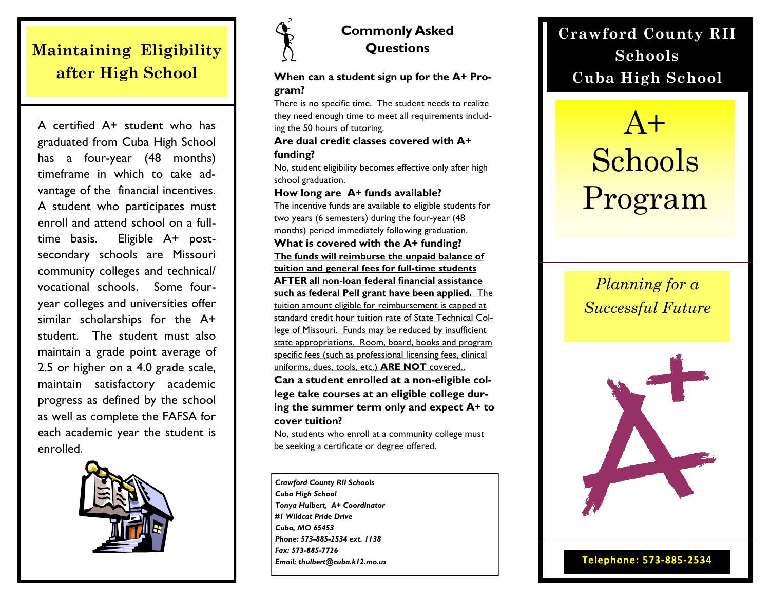## **Maintaining Eligibility after High School**

A certified A+ student who has graduated from Cuba High School has a four-year (48 months) timeframe in which to take advantage of the financial incentives. A student who participates must enroll and attend school on a fulltime basis. Eligible A+ postsecondary schools are Missouri community colleges and technical/ vocational schools. Some fouryear colleges and universities offer similar scholarships for the A+ student. The student must also maintain a grade point average of 2.5 or higher on a 4.0 grade scale, maintain satisfactory academic progress as defined by the school as well as complete the FAFSA for each academic year the student is enrolled.





### **Commonly Asked Questions**

**When can a student sign up for the A+ Program?**

There is no specific time. The student needs to realize they need enough time to meet all requirements including the 50 hours of tutoring.

#### **Are dual credit classes covered with A+ funding?**

No, student eligibility becomes effective only after high school graduation.

#### **How long are A+ funds available?**

The incentive funds are available to eligible students for two years (6 semesters) during the four-year (48 months) period immediately following graduation.

**What is covered with the A+ funding? The funds will reimburse the unpaid balance of tuition and general fees for full-time students AFTER all non-loan federal financial assistance such as federal Pell grant have been applied.** The tuition amount eligible for reimbursement is capped at standard credit hour tuition rate of State Technical College of Missouri. Funds may be reduced by insufficient state appropriations. Room, board, books and program specific fees (such as professional licensing fees, clinical uniforms, dues, tools, etc.) **ARE NOT** covered..

**Can a student enrolled at a non-eligible college take courses at an eligible college during the summer term only and expect A+ to cover tuition?**

No, students who enroll at a community college must be seeking a certificate or degree offered.

*Crawford County RII Schools Cuba High School Tonya Hulbert, A+ Coordinator #1 Wildcat Pride Drive Cuba, MO 65453 Phone: 573-885-2534 ext. 1138 Fax: 573-885-7726 Email: thulbert@cuba.k12.mo.us*

## **Crawford County RII Schools Cuba High School**

## $A+$ Schools Program

## *Planning for a Successful Future*



Telephone: 573-885-2534